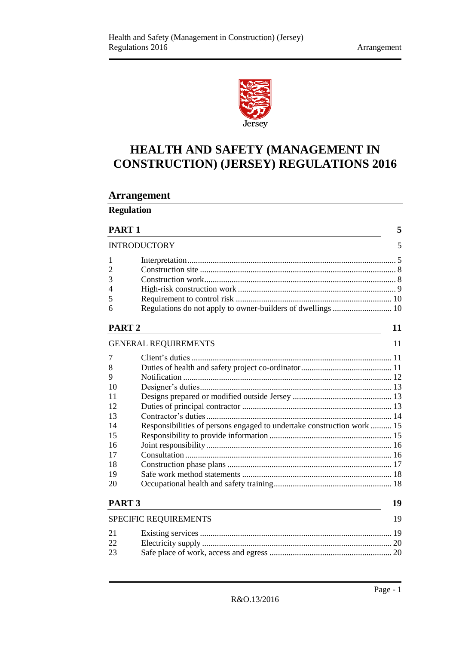

# **HEALTH AND SAFETY (MANAGEMENT IN CONSTRUCTION) (JERSEY) REGULATIONS 2016**

# **Arrangement**

| <b>Regulation</b> |  |
|-------------------|--|
|                   |  |

| PART                             |  |
|----------------------------------|--|
| $\mathbf{N}$ important iomorphic |  |

|                   | <b>INTRODUCTORY</b>         |    |
|-------------------|-----------------------------|----|
|                   |                             |    |
| 2                 |                             |    |
| $\overline{3}$    |                             |    |
| $\overline{4}$    |                             |    |
| 5                 |                             |    |
| 6                 |                             |    |
| PART <sub>2</sub> |                             | 11 |
|                   | <b>GENERAL REQUIREMENTS</b> | 11 |
|                   | 7 Client's duties           | 11 |

| <b>PART 3</b>  |                                                                        | 19 |
|----------------|------------------------------------------------------------------------|----|
| 20             |                                                                        |    |
| 19             |                                                                        |    |
| 18             |                                                                        |    |
| 17             |                                                                        |    |
| 16             |                                                                        |    |
| 15             |                                                                        |    |
| 14             | Responsibilities of persons engaged to undertake construction work  15 |    |
| 13             |                                                                        |    |
| 12             |                                                                        |    |
| 11             |                                                                        |    |
| 10             |                                                                        |    |
| 9              |                                                                        |    |
| 8              |                                                                        |    |
| $\overline{7}$ |                                                                        |    |

| <b>SPECIFIC REQUIREMENTS</b> |  |
|------------------------------|--|
|------------------------------|--|

| 22 |  |
|----|--|
| 23 |  |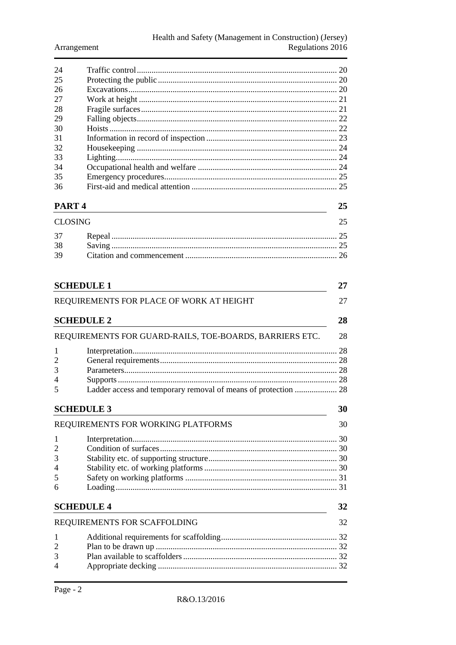| 24 |    |
|----|----|
| 25 |    |
| 26 |    |
| 27 |    |
| 28 |    |
| 29 |    |
| 30 |    |
| 31 |    |
| 32 |    |
| 33 | 24 |
| 34 |    |
| 35 |    |
| 36 |    |
|    |    |

## PART<sub>4</sub>

25

| CLOSING |  |
|---------|--|
|         |  |
| 38      |  |
| 39      |  |

| <b>SCHEDULE 1</b>                                                   | 27 |
|---------------------------------------------------------------------|----|
| REQUIREMENTS FOR PLACE OF WORK AT HEIGHT                            | 27 |
| <b>SCHEDULE 2</b>                                                   | 28 |
| REQUIREMENTS FOR GUARD-RAILS, TOE-BOARDS, BARRIERS ETC.             | 28 |
| 1                                                                   | 28 |
| $\overline{2}$                                                      |    |
| 3                                                                   |    |
| 4                                                                   |    |
| Ladder access and temporary removal of means of protection  28<br>5 |    |
| <b>SCHEDULE 3</b>                                                   | 30 |
| REQUIREMENTS FOR WORKING PLATFORMS                                  | 30 |
| 1                                                                   |    |
| $\overline{2}$                                                      |    |
| 3                                                                   |    |
| 4                                                                   |    |
| 5                                                                   |    |
| 6                                                                   |    |
| <b>SCHEDULE 4</b>                                                   | 32 |
|                                                                     |    |
| REQUIREMENTS FOR SCAFFOLDING                                        | 32 |
| 1                                                                   |    |
| 2                                                                   |    |
| 3                                                                   |    |
| 4                                                                   |    |
|                                                                     |    |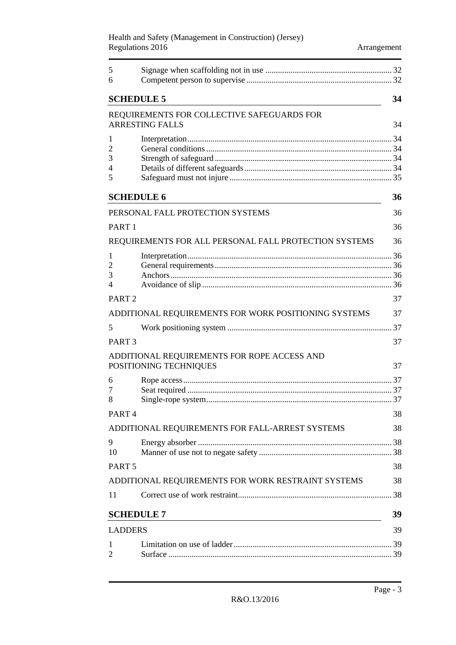#### Health and Safety (Management in Construction) (Jersey) Regulations 2016 **Arrangement**

| 5<br>6                             |                                                                       |    |
|------------------------------------|-----------------------------------------------------------------------|----|
| <b>SCHEDULE 5</b>                  |                                                                       | 34 |
|                                    | REQUIREMENTS FOR COLLECTIVE SAFEGUARDS FOR<br><b>ARRESTING FALLS</b>  | 34 |
| 1<br>$\overline{2}$<br>3<br>4<br>5 |                                                                       |    |
|                                    | <b>SCHEDULE 6</b>                                                     | 36 |
|                                    | PERSONAL FALL PROTECTION SYSTEMS                                      | 36 |
| PART <sub>1</sub>                  |                                                                       | 36 |
|                                    | REQUIREMENTS FOR ALL PERSONAL FALL PROTECTION SYSTEMS                 | 36 |
| 1<br>$\overline{2}$<br>3<br>4      |                                                                       |    |
| PART <sub>2</sub>                  |                                                                       | 37 |
|                                    | ADDITIONAL REQUIREMENTS FOR WORK POSITIONING SYSTEMS                  | 37 |
| 5                                  |                                                                       |    |
| PART <sub>3</sub>                  |                                                                       | 37 |
|                                    | ADDITIONAL REQUIREMENTS FOR ROPE ACCESS AND<br>POSITIONING TECHNIQUES | 37 |
| 6<br>7<br>8                        |                                                                       |    |
| PART <sub>4</sub>                  |                                                                       | 38 |
|                                    | ADDITIONAL REQUIREMENTS FOR FALL-ARREST SYSTEMS                       | 38 |
| 9<br>10                            |                                                                       |    |
| PART <sub>5</sub>                  |                                                                       | 38 |
|                                    | ADDITIONAL REQUIREMENTS FOR WORK RESTRAINT SYSTEMS                    | 38 |
| 11                                 |                                                                       |    |
|                                    | <b>SCHEDULE 7</b>                                                     | 39 |
| <b>LADDERS</b>                     |                                                                       | 39 |
| 1<br>2                             |                                                                       |    |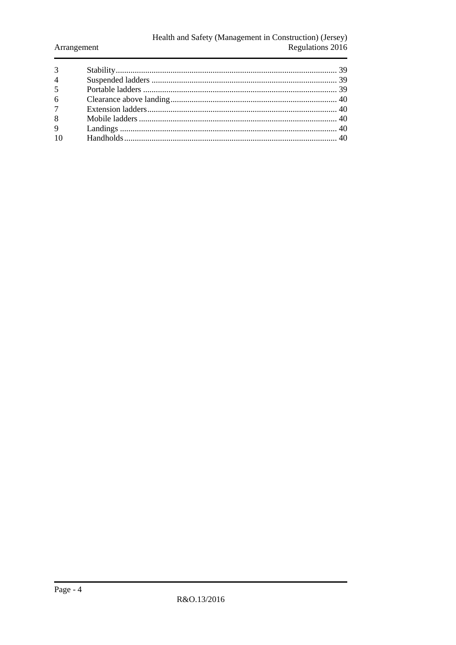# Health and Safety (Management in Construction) (Jersey)<br>Regulations 2016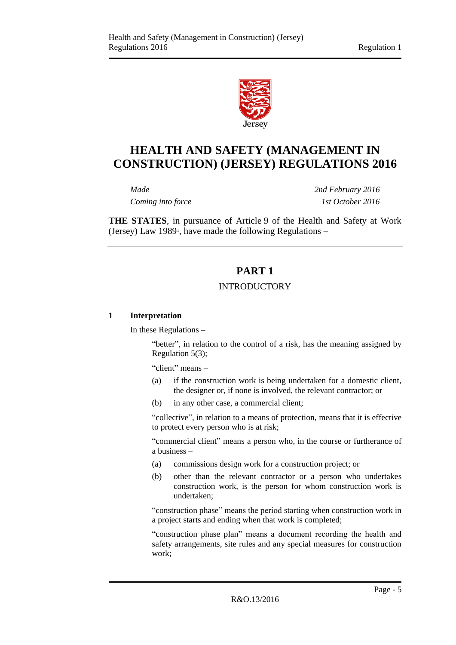

# **HEALTH AND SAFETY (MANAGEMENT IN CONSTRUCTION) (JERSEY) REGULATIONS 2016**

*Coming into force 1st October 2016*

*Made 2nd February 2016*

<span id="page-4-0"></span>**THE STATES**, in pursuance of Article 9 of the Health and Safety at Work (Jersey) Law 1989<sup>1</sup> , have made the following Regulations –

# **PART 1**

## INTRODUCTORY

#### <span id="page-4-2"></span><span id="page-4-1"></span>**1 Interpretation**

In these Regulations –

"better", in relation to the control of a risk, has the meaning assigned by Regulation 5(3);

"client" means –

- (a) if the construction work is being undertaken for a domestic client, the designer or, if none is involved, the relevant contractor; or
- (b) in any other case, a commercial client;

"collective", in relation to a means of protection, means that it is effective to protect every person who is at risk;

"commercial client" means a person who, in the course or furtherance of a business –

- (a) commissions design work for a construction project; or
- (b) other than the relevant contractor or a person who undertakes construction work, is the person for whom construction work is undertaken;

"construction phase" means the period starting when construction work in a project starts and ending when that work is completed;

"construction phase plan" means a document recording the health and safety arrangements, site rules and any special measures for construction work;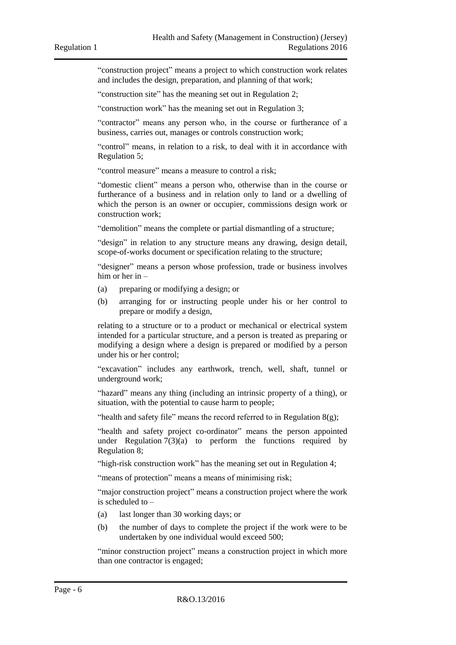"construction project" means a project to which construction work relates and includes the design, preparation, and planning of that work;

"construction site" has the meaning set out in Regulation 2;

"construction work" has the meaning set out in Regulation 3;

"contractor" means any person who, in the course or furtherance of a business, carries out, manages or controls construction work;

"control" means, in relation to a risk, to deal with it in accordance with Regulation 5;

"control measure" means a measure to control a risk;

"domestic client" means a person who, otherwise than in the course or furtherance of a business and in relation only to land or a dwelling of which the person is an owner or occupier, commissions design work or construction work;

"demolition" means the complete or partial dismantling of a structure;

"design" in relation to any structure means any drawing, design detail, scope-of-works document or specification relating to the structure;

"designer" means a person whose profession, trade or business involves him or her in –

- (a) preparing or modifying a design; or
- (b) arranging for or instructing people under his or her control to prepare or modify a design,

relating to a structure or to a product or mechanical or electrical system intended for a particular structure, and a person is treated as preparing or modifying a design where a design is prepared or modified by a person under his or her control;

"excavation" includes any earthwork, trench, well, shaft, tunnel or underground work;

"hazard" means any thing (including an intrinsic property of a thing), or situation, with the potential to cause harm to people;

"health and safety file" means the record referred to in Regulation  $8(g)$ ;

"health and safety project co-ordinator" means the person appointed under Regulation  $7(3)(a)$  to perform the functions required by Regulation 8;

"high-risk construction work" has the meaning set out in Regulation 4;

"means of protection" means a means of minimising risk;

"major construction project" means a construction project where the work is scheduled to –

- (a) last longer than 30 working days; or
- (b) the number of days to complete the project if the work were to be undertaken by one individual would exceed 500;

"minor construction project" means a construction project in which more than one contractor is engaged;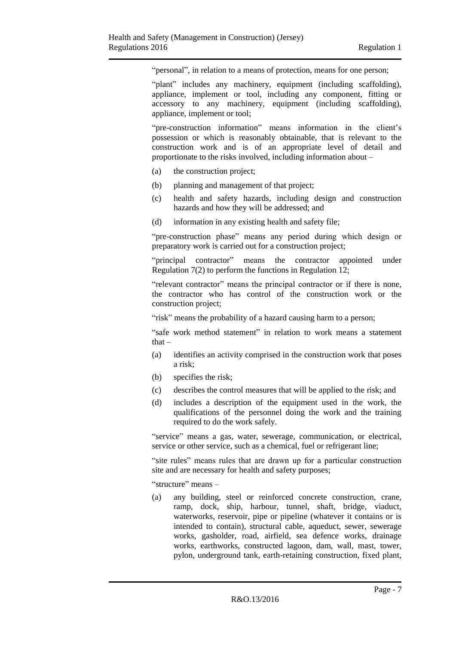"personal", in relation to a means of protection, means for one person;

"plant" includes any machinery, equipment (including scaffolding), appliance, implement or tool, including any component, fitting or accessory to any machinery, equipment (including scaffolding), appliance, implement or tool;

"pre-construction information" means information in the client's possession or which is reasonably obtainable, that is relevant to the construction work and is of an appropriate level of detail and proportionate to the risks involved, including information about –

- (a) the construction project;
- (b) planning and management of that project;
- (c) health and safety hazards, including design and construction hazards and how they will be addressed; and
- (d) information in any existing health and safety file;

"pre-construction phase" means any period during which design or preparatory work is carried out for a construction project;

"principal contractor" means the contractor appointed under Regulation 7(2) to perform the functions in Regulation 12;

"relevant contractor" means the principal contractor or if there is none, the contractor who has control of the construction work or the construction project;

"risk" means the probability of a hazard causing harm to a person;

"safe work method statement" in relation to work means a statement that –

- (a) identifies an activity comprised in the construction work that poses a risk;
- (b) specifies the risk;
- (c) describes the control measures that will be applied to the risk; and
- (d) includes a description of the equipment used in the work, the qualifications of the personnel doing the work and the training required to do the work safely.

"service" means a gas, water, sewerage, communication, or electrical, service or other service, such as a chemical, fuel or refrigerant line;

"site rules" means rules that are drawn up for a particular construction site and are necessary for health and safety purposes;

"structure" means –

(a) any building, steel or reinforced concrete construction, crane, ramp, dock, ship, harbour, tunnel, shaft, bridge, viaduct, waterworks, reservoir, pipe or pipeline (whatever it contains or is intended to contain), structural cable, aqueduct, sewer, sewerage works, gasholder, road, airfield, sea defence works, drainage works, earthworks, constructed lagoon, dam, wall, mast, tower, pylon, underground tank, earth-retaining construction, fixed plant,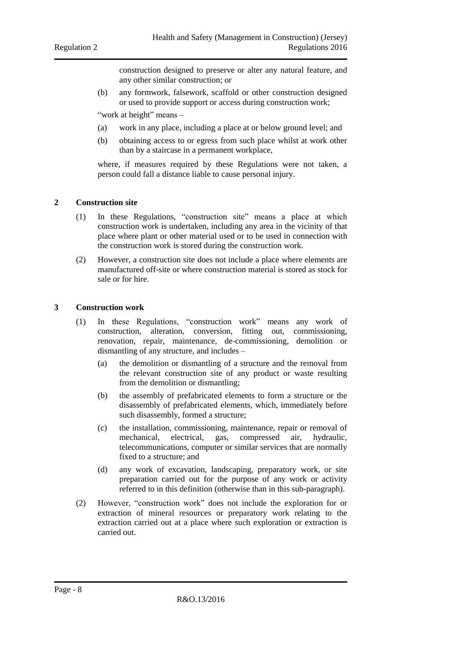construction designed to preserve or alter any natural feature, and any other similar construction; or

(b) any formwork, falsework, scaffold or other construction designed or used to provide support or access during construction work;

"work at height" means -

- (a) work in any place, including a place at or below ground level; and
- (b) obtaining access to or egress from such place whilst at work other than by a staircase in a permanent workplace,

where, if measures required by these Regulations were not taken, a person could fall a distance liable to cause personal injury.

#### <span id="page-7-0"></span>**2 Construction site**

- (1) In these Regulations, "construction site" means a place at which construction work is undertaken, including any area in the vicinity of that place where plant or other material used or to be used in connection with the construction work is stored during the construction work.
- (2) However, a construction site does not include a place where elements are manufactured off-site or where construction material is stored as stock for sale or for hire.

#### <span id="page-7-1"></span>**3 Construction work**

- (1) In these Regulations, "construction work" means any work of construction, alteration, conversion, fitting out, commissioning, renovation, repair, maintenance, de-commissioning, demolition or dismantling of any structure, and includes –
	- (a) the demolition or dismantling of a structure and the removal from the relevant construction site of any product or waste resulting from the demolition or dismantling;
	- (b) the assembly of prefabricated elements to form a structure or the disassembly of prefabricated elements, which, immediately before such disassembly, formed a structure;
	- (c) the installation, commissioning, maintenance, repair or removal of mechanical, electrical, gas, compressed air, hydraulic, telecommunications, computer or similar services that are normally fixed to a structure; and
	- (d) any work of excavation, landscaping, preparatory work, or site preparation carried out for the purpose of any work or activity referred to in this definition (otherwise than in this sub-paragraph).
- (2) However, "construction work" does not include the exploration for or extraction of mineral resources or preparatory work relating to the extraction carried out at a place where such exploration or extraction is carried out.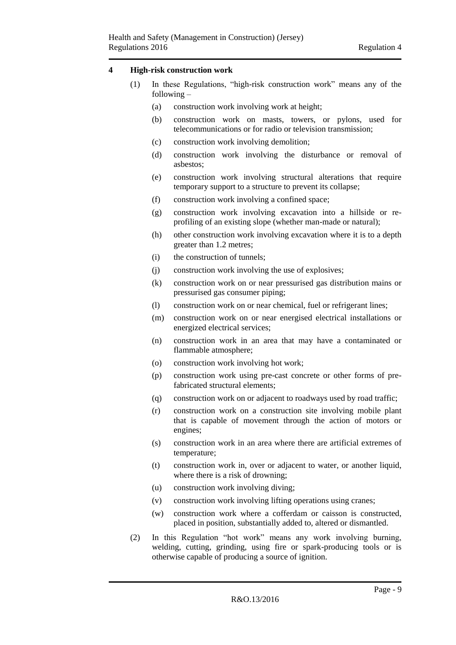#### <span id="page-8-0"></span>**4 High-risk construction work**

- (1) In these Regulations, "high-risk construction work" means any of the following –
	- (a) construction work involving work at height;
	- (b) construction work on masts, towers, or pylons, used for telecommunications or for radio or television transmission;
	- (c) construction work involving demolition;
	- (d) construction work involving the disturbance or removal of asbestos;
	- (e) construction work involving structural alterations that require temporary support to a structure to prevent its collapse;
	- (f) construction work involving a confined space;
	- (g) construction work involving excavation into a hillside or reprofiling of an existing slope (whether man-made or natural);
	- (h) other construction work involving excavation where it is to a depth greater than 1.2 metres;
	- (i) the construction of tunnels;
	- (j) construction work involving the use of explosives;
	- (k) construction work on or near pressurised gas distribution mains or pressurised gas consumer piping;
	- (l) construction work on or near chemical, fuel or refrigerant lines;
	- (m) construction work on or near energised electrical installations or energized electrical services;
	- (n) construction work in an area that may have a contaminated or flammable atmosphere;
	- (o) construction work involving hot work;
	- (p) construction work using pre-cast concrete or other forms of prefabricated structural elements;
	- (q) construction work on or adjacent to roadways used by road traffic;
	- (r) construction work on a construction site involving mobile plant that is capable of movement through the action of motors or engines;
	- (s) construction work in an area where there are artificial extremes of temperature;
	- (t) construction work in, over or adjacent to water, or another liquid, where there is a risk of drowning;
	- (u) construction work involving diving;
	- (v) construction work involving lifting operations using cranes;
	- (w) construction work where a cofferdam or caisson is constructed, placed in position, substantially added to, altered or dismantled.
- (2) In this Regulation "hot work" means any work involving burning, welding, cutting, grinding, using fire or spark-producing tools or is otherwise capable of producing a source of ignition.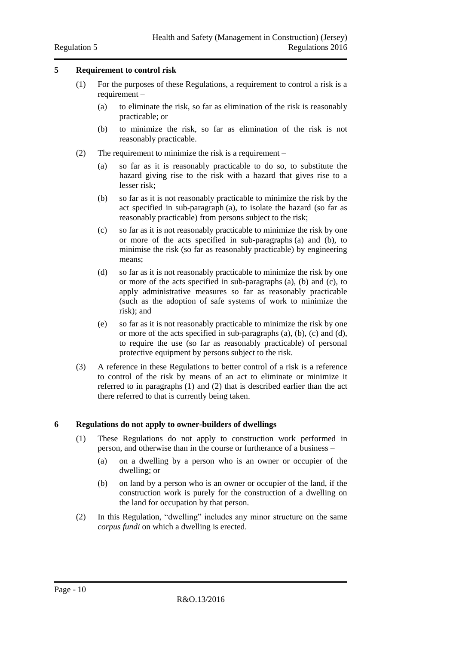#### <span id="page-9-0"></span>**5 Requirement to control risk**

- (1) For the purposes of these Regulations, a requirement to control a risk is a requirement –
	- (a) to eliminate the risk, so far as elimination of the risk is reasonably practicable; or
	- (b) to minimize the risk, so far as elimination of the risk is not reasonably practicable.
- (2) The requirement to minimize the risk is a requirement
	- (a) so far as it is reasonably practicable to do so, to substitute the hazard giving rise to the risk with a hazard that gives rise to a lesser risk;
	- (b) so far as it is not reasonably practicable to minimize the risk by the act specified in sub-paragraph (a), to isolate the hazard (so far as reasonably practicable) from persons subject to the risk;
	- (c) so far as it is not reasonably practicable to minimize the risk by one or more of the acts specified in sub-paragraphs (a) and (b), to minimise the risk (so far as reasonably practicable) by engineering means;
	- (d) so far as it is not reasonably practicable to minimize the risk by one or more of the acts specified in sub-paragraphs (a), (b) and (c), to apply administrative measures so far as reasonably practicable (such as the adoption of safe systems of work to minimize the risk); and
	- (e) so far as it is not reasonably practicable to minimize the risk by one or more of the acts specified in sub-paragraphs (a), (b), (c) and (d), to require the use (so far as reasonably practicable) of personal protective equipment by persons subject to the risk.
- (3) A reference in these Regulations to better control of a risk is a reference to control of the risk by means of an act to eliminate or minimize it referred to in paragraphs (1) and (2) that is described earlier than the act there referred to that is currently being taken.

#### <span id="page-9-1"></span>**6 Regulations do not apply to owner-builders of dwellings**

- (1) These Regulations do not apply to construction work performed in person, and otherwise than in the course or furtherance of a business –
	- (a) on a dwelling by a person who is an owner or occupier of the dwelling; or
	- (b) on land by a person who is an owner or occupier of the land, if the construction work is purely for the construction of a dwelling on the land for occupation by that person.
- (2) In this Regulation, "dwelling" includes any minor structure on the same *corpus fundi* on which a dwelling is erected.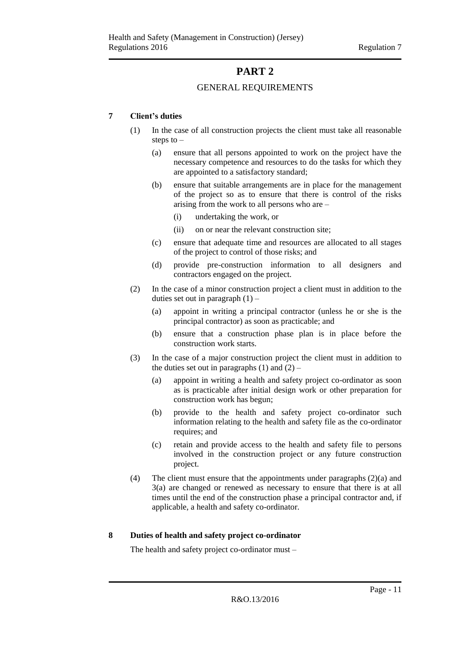# **PART 2**

#### GENERAL REQUIREMENTS

#### <span id="page-10-2"></span><span id="page-10-1"></span><span id="page-10-0"></span>**7 Client's duties**

- (1) In the case of all construction projects the client must take all reasonable steps to  $-$ 
	- (a) ensure that all persons appointed to work on the project have the necessary competence and resources to do the tasks for which they are appointed to a satisfactory standard;
	- (b) ensure that suitable arrangements are in place for the management of the project so as to ensure that there is control of the risks arising from the work to all persons who are –
		- (i) undertaking the work, or
		- (ii) on or near the relevant construction site;
	- (c) ensure that adequate time and resources are allocated to all stages of the project to control of those risks; and
	- (d) provide pre-construction information to all designers and contractors engaged on the project.
- (2) In the case of a minor construction project a client must in addition to the duties set out in paragraph  $(1)$  –
	- (a) appoint in writing a principal contractor (unless he or she is the principal contractor) as soon as practicable; and
	- (b) ensure that a construction phase plan is in place before the construction work starts.
- (3) In the case of a major construction project the client must in addition to the duties set out in paragraphs  $(1)$  and  $(2)$  –
	- (a) appoint in writing a health and safety project co-ordinator as soon as is practicable after initial design work or other preparation for construction work has begun;
	- (b) provide to the health and safety project co-ordinator such information relating to the health and safety file as the co-ordinator requires; and
	- (c) retain and provide access to the health and safety file to persons involved in the construction project or any future construction project.
- (4) The client must ensure that the appointments under paragraphs (2)(a) and 3(a) are changed or renewed as necessary to ensure that there is at all times until the end of the construction phase a principal contractor and, if applicable, a health and safety co-ordinator.

#### <span id="page-10-3"></span>**8 Duties of health and safety project co-ordinator**

The health and safety project co-ordinator must –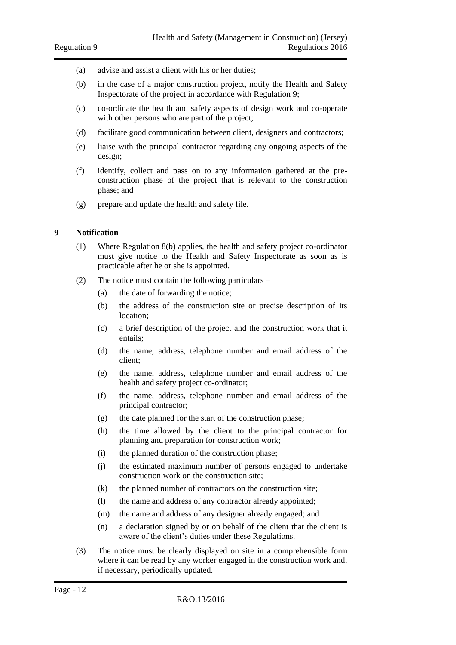- (a) advise and assist a client with his or her duties;
- (b) in the case of a major construction project, notify the Health and Safety Inspectorate of the project in accordance with Regulation 9;
- (c) co-ordinate the health and safety aspects of design work and co-operate with other persons who are part of the project:
- (d) facilitate good communication between client, designers and contractors;
- (e) liaise with the principal contractor regarding any ongoing aspects of the design;
- (f) identify, collect and pass on to any information gathered at the preconstruction phase of the project that is relevant to the construction phase; and
- (g) prepare and update the health and safety file.

#### <span id="page-11-0"></span>**9 Notification**

- (1) Where Regulation 8(b) applies, the health and safety project co-ordinator must give notice to the Health and Safety Inspectorate as soon as is practicable after he or she is appointed.
- (2) The notice must contain the following particulars
	- (a) the date of forwarding the notice;
	- (b) the address of the construction site or precise description of its location;
	- (c) a brief description of the project and the construction work that it entails;
	- (d) the name, address, telephone number and email address of the client;
	- (e) the name, address, telephone number and email address of the health and safety project co-ordinator;
	- (f) the name, address, telephone number and email address of the principal contractor;
	- (g) the date planned for the start of the construction phase;
	- (h) the time allowed by the client to the principal contractor for planning and preparation for construction work;
	- (i) the planned duration of the construction phase;
	- (j) the estimated maximum number of persons engaged to undertake construction work on the construction site;
	- (k) the planned number of contractors on the construction site;
	- (l) the name and address of any contractor already appointed;
	- (m) the name and address of any designer already engaged; and
	- (n) a declaration signed by or on behalf of the client that the client is aware of the client's duties under these Regulations.
- (3) The notice must be clearly displayed on site in a comprehensible form where it can be read by any worker engaged in the construction work and, if necessary, periodically updated.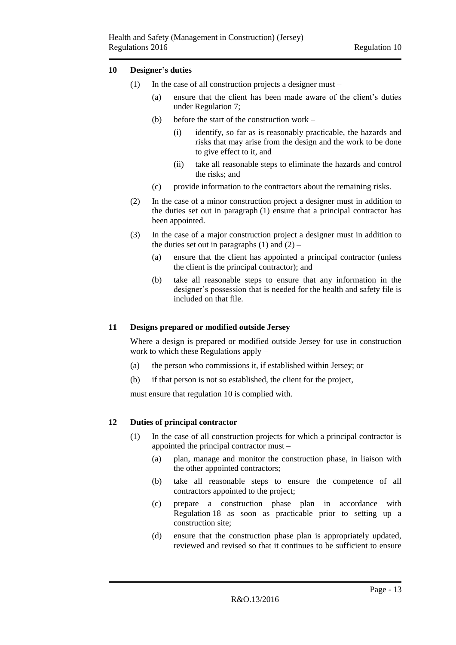#### <span id="page-12-0"></span>**10 Designer's duties**

- (1) In the case of all construction projects a designer must
	- (a) ensure that the client has been made aware of the client's duties under Regulation 7;
	- (b) before the start of the construction work
		- (i) identify, so far as is reasonably practicable, the hazards and risks that may arise from the design and the work to be done to give effect to it, and
		- (ii) take all reasonable steps to eliminate the hazards and control the risks; and
	- (c) provide information to the contractors about the remaining risks.
- (2) In the case of a minor construction project a designer must in addition to the duties set out in paragraph (1) ensure that a principal contractor has been appointed.
- (3) In the case of a major construction project a designer must in addition to the duties set out in paragraphs  $(1)$  and  $(2)$  –
	- (a) ensure that the client has appointed a principal contractor (unless the client is the principal contractor); and
	- (b) take all reasonable steps to ensure that any information in the designer's possession that is needed for the health and safety file is included on that file.

#### <span id="page-12-1"></span>**11 Designs prepared or modified outside Jersey**

Where a design is prepared or modified outside Jersey for use in construction work to which these Regulations apply –

- (a) the person who commissions it, if established within Jersey; or
- (b) if that person is not so established, the client for the project,

must ensure that regulation 10 is complied with.

#### <span id="page-12-2"></span>**12 Duties of principal contractor**

- (1) In the case of all construction projects for which a principal contractor is appointed the principal contractor must –
	- (a) plan, manage and monitor the construction phase, in liaison with the other appointed contractors;
	- (b) take all reasonable steps to ensure the competence of all contractors appointed to the project;
	- (c) prepare a construction phase plan in accordance with Regulation 18 as soon as practicable prior to setting up a construction site;
	- (d) ensure that the construction phase plan is appropriately updated, reviewed and revised so that it continues to be sufficient to ensure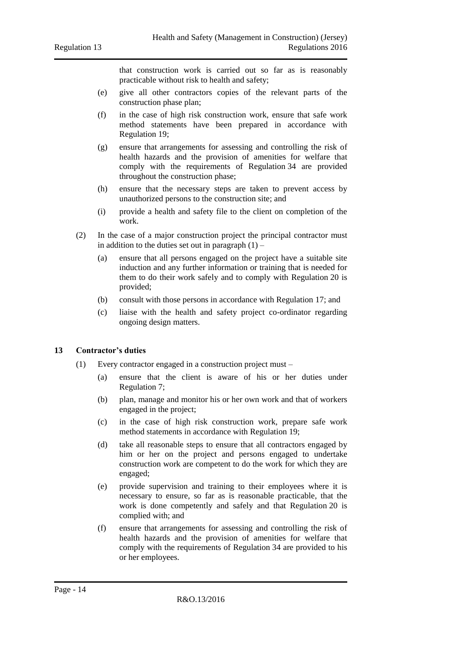that construction work is carried out so far as is reasonably practicable without risk to health and safety;

- (e) give all other contractors copies of the relevant parts of the construction phase plan;
- (f) in the case of high risk construction work, ensure that safe work method statements have been prepared in accordance with Regulation 19;
- (g) ensure that arrangements for assessing and controlling the risk of health hazards and the provision of amenities for welfare that comply with the requirements of Regulation 34 are provided throughout the construction phase;
- (h) ensure that the necessary steps are taken to prevent access by unauthorized persons to the construction site; and
- (i) provide a health and safety file to the client on completion of the work.
- (2) In the case of a major construction project the principal contractor must in addition to the duties set out in paragraph  $(1)$  –
	- (a) ensure that all persons engaged on the project have a suitable site induction and any further information or training that is needed for them to do their work safely and to comply with Regulation 20 is provided;
	- (b) consult with those persons in accordance with Regulation 17; and
	- (c) liaise with the health and safety project co-ordinator regarding ongoing design matters.

#### <span id="page-13-0"></span>**13 Contractor's duties**

- (1) Every contractor engaged in a construction project must
	- (a) ensure that the client is aware of his or her duties under Regulation 7;
	- (b) plan, manage and monitor his or her own work and that of workers engaged in the project;
	- (c) in the case of high risk construction work, prepare safe work method statements in accordance with Regulation 19;
	- (d) take all reasonable steps to ensure that all contractors engaged by him or her on the project and persons engaged to undertake construction work are competent to do the work for which they are engaged;
	- (e) provide supervision and training to their employees where it is necessary to ensure, so far as is reasonable practicable, that the work is done competently and safely and that Regulation 20 is complied with; and
	- (f) ensure that arrangements for assessing and controlling the risk of health hazards and the provision of amenities for welfare that comply with the requirements of Regulation 34 are provided to his or her employees.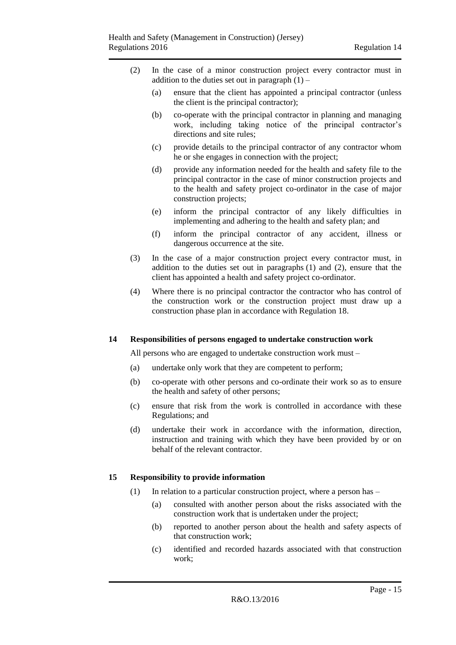- (2) In the case of a minor construction project every contractor must in addition to the duties set out in paragraph  $(1)$  –
	- (a) ensure that the client has appointed a principal contractor (unless the client is the principal contractor);
	- (b) co-operate with the principal contractor in planning and managing work, including taking notice of the principal contractor's directions and site rules;
	- (c) provide details to the principal contractor of any contractor whom he or she engages in connection with the project;
	- (d) provide any information needed for the health and safety file to the principal contractor in the case of minor construction projects and to the health and safety project co-ordinator in the case of major construction projects;
	- (e) inform the principal contractor of any likely difficulties in implementing and adhering to the health and safety plan; and
	- (f) inform the principal contractor of any accident, illness or dangerous occurrence at the site.
- (3) In the case of a major construction project every contractor must, in addition to the duties set out in paragraphs (1) and (2), ensure that the client has appointed a health and safety project co-ordinator.
- (4) Where there is no principal contractor the contractor who has control of the construction work or the construction project must draw up a construction phase plan in accordance with Regulation 18.

#### <span id="page-14-0"></span>**14 Responsibilities of persons engaged to undertake construction work**

All persons who are engaged to undertake construction work must –

- (a) undertake only work that they are competent to perform;
- (b) co-operate with other persons and co-ordinate their work so as to ensure the health and safety of other persons;
- (c) ensure that risk from the work is controlled in accordance with these Regulations; and
- (d) undertake their work in accordance with the information, direction, instruction and training with which they have been provided by or on behalf of the relevant contractor.

#### <span id="page-14-1"></span>**15 Responsibility to provide information**

- (1) In relation to a particular construction project, where a person has
	- (a) consulted with another person about the risks associated with the construction work that is undertaken under the project;
	- (b) reported to another person about the health and safety aspects of that construction work;
	- (c) identified and recorded hazards associated with that construction work;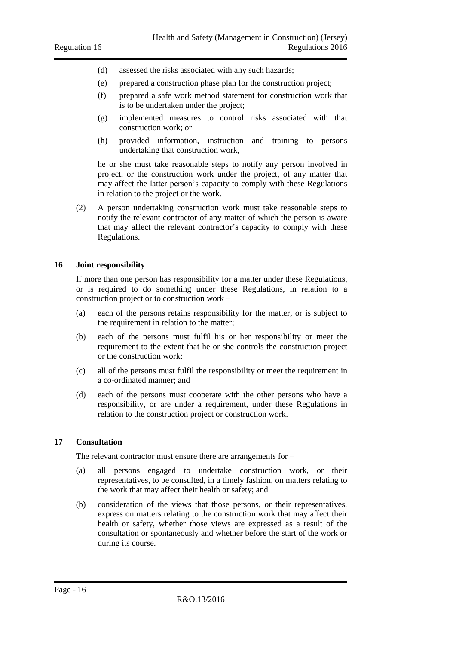- (d) assessed the risks associated with any such hazards;
- (e) prepared a construction phase plan for the construction project;
- (f) prepared a safe work method statement for construction work that is to be undertaken under the project;
- (g) implemented measures to control risks associated with that construction work; or
- (h) provided information, instruction and training to persons undertaking that construction work,

he or she must take reasonable steps to notify any person involved in project, or the construction work under the project, of any matter that may affect the latter person's capacity to comply with these Regulations in relation to the project or the work.

(2) A person undertaking construction work must take reasonable steps to notify the relevant contractor of any matter of which the person is aware that may affect the relevant contractor's capacity to comply with these Regulations.

#### <span id="page-15-0"></span>**16 Joint responsibility**

If more than one person has responsibility for a matter under these Regulations, or is required to do something under these Regulations, in relation to a construction project or to construction work –

- (a) each of the persons retains responsibility for the matter, or is subject to the requirement in relation to the matter;
- (b) each of the persons must fulfil his or her responsibility or meet the requirement to the extent that he or she controls the construction project or the construction work;
- (c) all of the persons must fulfil the responsibility or meet the requirement in a co-ordinated manner; and
- (d) each of the persons must cooperate with the other persons who have a responsibility, or are under a requirement, under these Regulations in relation to the construction project or construction work.

#### <span id="page-15-1"></span>**17 Consultation**

The relevant contractor must ensure there are arrangements for –

- (a) all persons engaged to undertake construction work, or their representatives, to be consulted, in a timely fashion, on matters relating to the work that may affect their health or safety; and
- (b) consideration of the views that those persons, or their representatives, express on matters relating to the construction work that may affect their health or safety, whether those views are expressed as a result of the consultation or spontaneously and whether before the start of the work or during its course.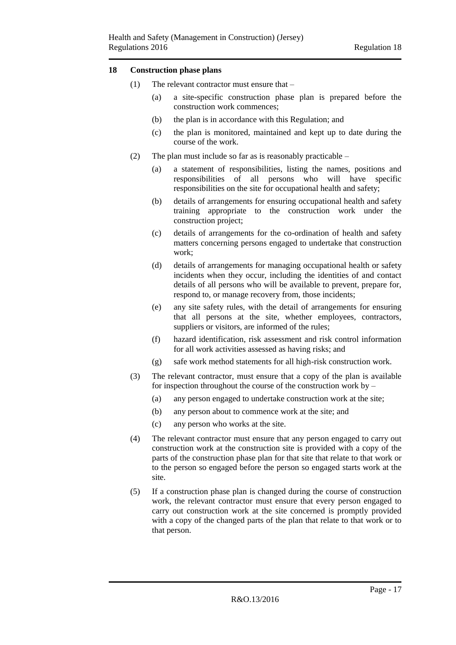#### <span id="page-16-0"></span>**18 Construction phase plans**

- (1) The relevant contractor must ensure that
	- (a) a site-specific construction phase plan is prepared before the construction work commences;
	- (b) the plan is in accordance with this Regulation; and
	- (c) the plan is monitored, maintained and kept up to date during the course of the work.
- (2) The plan must include so far as is reasonably practicable  $-$ 
	- (a) a statement of responsibilities, listing the names, positions and responsibilities of all persons who will have specific responsibilities on the site for occupational health and safety;
	- (b) details of arrangements for ensuring occupational health and safety training appropriate to the construction work under the construction project;
	- (c) details of arrangements for the co-ordination of health and safety matters concerning persons engaged to undertake that construction work;
	- (d) details of arrangements for managing occupational health or safety incidents when they occur, including the identities of and contact details of all persons who will be available to prevent, prepare for, respond to, or manage recovery from, those incidents;
	- (e) any site safety rules, with the detail of arrangements for ensuring that all persons at the site, whether employees, contractors, suppliers or visitors, are informed of the rules;
	- (f) hazard identification, risk assessment and risk control information for all work activities assessed as having risks; and
	- (g) safe work method statements for all high-risk construction work.
- (3) The relevant contractor, must ensure that a copy of the plan is available for inspection throughout the course of the construction work by –
	- (a) any person engaged to undertake construction work at the site;
	- (b) any person about to commence work at the site; and
	- (c) any person who works at the site.
- (4) The relevant contractor must ensure that any person engaged to carry out construction work at the construction site is provided with a copy of the parts of the construction phase plan for that site that relate to that work or to the person so engaged before the person so engaged starts work at the site.
- (5) If a construction phase plan is changed during the course of construction work, the relevant contractor must ensure that every person engaged to carry out construction work at the site concerned is promptly provided with a copy of the changed parts of the plan that relate to that work or to that person.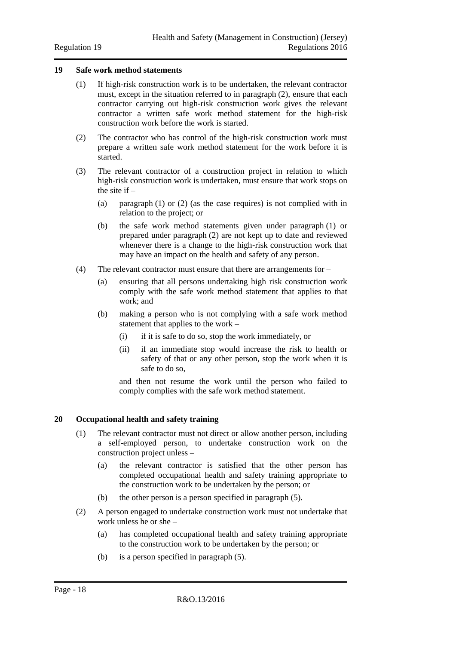#### <span id="page-17-0"></span>**19 Safe work method statements**

- (1) If high-risk construction work is to be undertaken, the relevant contractor must, except in the situation referred to in paragraph (2), ensure that each contractor carrying out high-risk construction work gives the relevant contractor a written safe work method statement for the high-risk construction work before the work is started.
- (2) The contractor who has control of the high-risk construction work must prepare a written safe work method statement for the work before it is started.
- (3) The relevant contractor of a construction project in relation to which high-risk construction work is undertaken, must ensure that work stops on the site if  $-$ 
	- (a) paragraph (1) or (2) (as the case requires) is not complied with in relation to the project; or
	- (b) the safe work method statements given under paragraph (1) or prepared under paragraph (2) are not kept up to date and reviewed whenever there is a change to the high-risk construction work that may have an impact on the health and safety of any person.
- (4) The relevant contractor must ensure that there are arrangements for
	- (a) ensuring that all persons undertaking high risk construction work comply with the safe work method statement that applies to that work; and
	- (b) making a person who is not complying with a safe work method statement that applies to the work –
		- (i) if it is safe to do so, stop the work immediately, or
		- (ii) if an immediate stop would increase the risk to health or safety of that or any other person, stop the work when it is safe to do so,

and then not resume the work until the person who failed to comply complies with the safe work method statement.

#### <span id="page-17-1"></span>**20 Occupational health and safety training**

- (1) The relevant contractor must not direct or allow another person, including a self-employed person, to undertake construction work on the construction project unless –
	- (a) the relevant contractor is satisfied that the other person has completed occupational health and safety training appropriate to the construction work to be undertaken by the person; or
	- (b) the other person is a person specified in paragraph (5).
- (2) A person engaged to undertake construction work must not undertake that work unless he or she –
	- (a) has completed occupational health and safety training appropriate to the construction work to be undertaken by the person; or
	- (b) is a person specified in paragraph (5).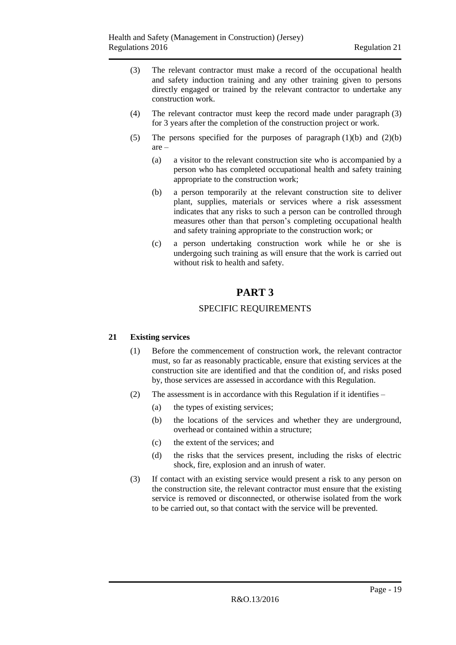- (3) The relevant contractor must make a record of the occupational health and safety induction training and any other training given to persons directly engaged or trained by the relevant contractor to undertake any construction work.
- (4) The relevant contractor must keep the record made under paragraph (3) for 3 years after the completion of the construction project or work.
- (5) The persons specified for the purposes of paragraph  $(1)(b)$  and  $(2)(b)$ are –
	- (a) a visitor to the relevant construction site who is accompanied by a person who has completed occupational health and safety training appropriate to the construction work;
	- (b) a person temporarily at the relevant construction site to deliver plant, supplies, materials or services where a risk assessment indicates that any risks to such a person can be controlled through measures other than that person's completing occupational health and safety training appropriate to the construction work; or
	- (c) a person undertaking construction work while he or she is undergoing such training as will ensure that the work is carried out without risk to health and safety.

# **PART 3**

#### SPECIFIC REQUIREMENTS

#### <span id="page-18-2"></span><span id="page-18-1"></span><span id="page-18-0"></span>**21 Existing services**

- (1) Before the commencement of construction work, the relevant contractor must, so far as reasonably practicable, ensure that existing services at the construction site are identified and that the condition of, and risks posed by, those services are assessed in accordance with this Regulation.
- (2) The assessment is in accordance with this Regulation if it identifies
	- (a) the types of existing services;
	- (b) the locations of the services and whether they are underground, overhead or contained within a structure;
	- (c) the extent of the services; and
	- (d) the risks that the services present, including the risks of electric shock, fire, explosion and an inrush of water.
- (3) If contact with an existing service would present a risk to any person on the construction site, the relevant contractor must ensure that the existing service is removed or disconnected, or otherwise isolated from the work to be carried out, so that contact with the service will be prevented.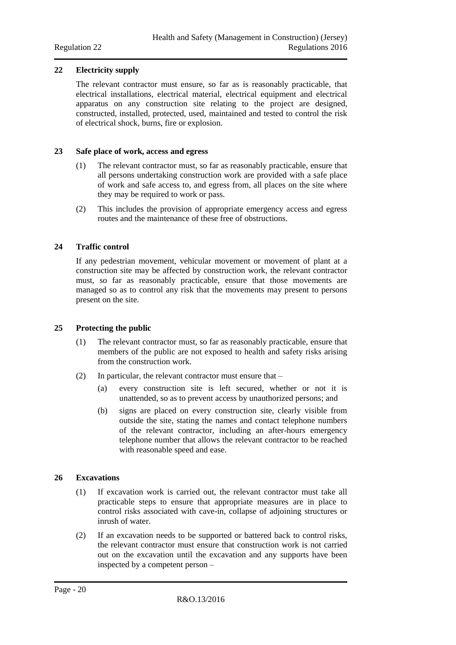#### <span id="page-19-0"></span>**22 Electricity supply**

The relevant contractor must ensure, so far as is reasonably practicable, that electrical installations, electrical material, electrical equipment and electrical apparatus on any construction site relating to the project are designed, constructed, installed, protected, used, maintained and tested to control the risk of electrical shock, burns, fire or explosion.

#### <span id="page-19-1"></span>**23 Safe place of work, access and egress**

- (1) The relevant contractor must, so far as reasonably practicable, ensure that all persons undertaking construction work are provided with a safe place of work and safe access to, and egress from, all places on the site where they may be required to work or pass.
- (2) This includes the provision of appropriate emergency access and egress routes and the maintenance of these free of obstructions.

#### <span id="page-19-2"></span>**24 Traffic control**

If any pedestrian movement, vehicular movement or movement of plant at a construction site may be affected by construction work, the relevant contractor must, so far as reasonably practicable, ensure that those movements are managed so as to control any risk that the movements may present to persons present on the site.

#### <span id="page-19-3"></span>**25 Protecting the public**

- (1) The relevant contractor must, so far as reasonably practicable, ensure that members of the public are not exposed to health and safety risks arising from the construction work.
- (2) In particular, the relevant contractor must ensure that
	- (a) every construction site is left secured, whether or not it is unattended, so as to prevent access by unauthorized persons; and
	- (b) signs are placed on every construction site, clearly visible from outside the site, stating the names and contact telephone numbers of the relevant contractor, including an after-hours emergency telephone number that allows the relevant contractor to be reached with reasonable speed and ease.

#### <span id="page-19-4"></span>**26 Excavations**

- (1) If excavation work is carried out, the relevant contractor must take all practicable steps to ensure that appropriate measures are in place to control risks associated with cave-in, collapse of adjoining structures or inrush of water.
- (2) If an excavation needs to be supported or battered back to control risks, the relevant contractor must ensure that construction work is not carried out on the excavation until the excavation and any supports have been inspected by a competent person –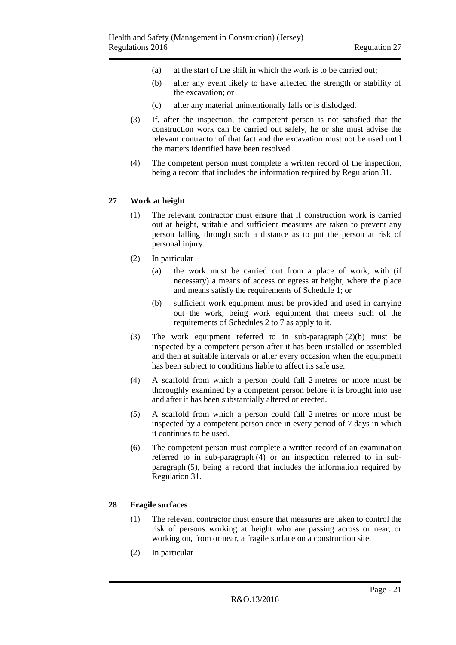- (a) at the start of the shift in which the work is to be carried out;
- (b) after any event likely to have affected the strength or stability of the excavation; or
- (c) after any material unintentionally falls or is dislodged.
- (3) If, after the inspection, the competent person is not satisfied that the construction work can be carried out safely, he or she must advise the relevant contractor of that fact and the excavation must not be used until the matters identified have been resolved.
- (4) The competent person must complete a written record of the inspection, being a record that includes the information required by Regulation 31.

#### <span id="page-20-0"></span>**27 Work at height**

- (1) The relevant contractor must ensure that if construction work is carried out at height, suitable and sufficient measures are taken to prevent any person falling through such a distance as to put the person at risk of personal injury.
- (2) In particular
	- (a) the work must be carried out from a place of work, with (if necessary) a means of access or egress at height, where the place and means satisfy the requirements of Schedule 1; or
	- (b) sufficient work equipment must be provided and used in carrying out the work, being work equipment that meets such of the requirements of Schedules 2 to 7 as apply to it.
- (3) The work equipment referred to in sub-paragraph (2)(b) must be inspected by a competent person after it has been installed or assembled and then at suitable intervals or after every occasion when the equipment has been subject to conditions liable to affect its safe use.
- (4) A scaffold from which a person could fall 2 metres or more must be thoroughly examined by a competent person before it is brought into use and after it has been substantially altered or erected.
- (5) A scaffold from which a person could fall 2 metres or more must be inspected by a competent person once in every period of 7 days in which it continues to be used.
- (6) The competent person must complete a written record of an examination referred to in sub-paragraph (4) or an inspection referred to in subparagraph (5), being a record that includes the information required by Regulation 31.

#### <span id="page-20-1"></span>**28 Fragile surfaces**

- (1) The relevant contractor must ensure that measures are taken to control the risk of persons working at height who are passing across or near, or working on, from or near, a fragile surface on a construction site.
- (2) In particular –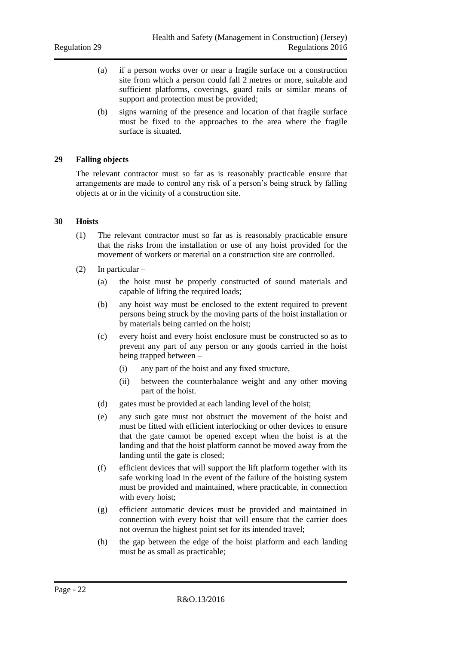- (a) if a person works over or near a fragile surface on a construction site from which a person could fall 2 metres or more, suitable and sufficient platforms, coverings, guard rails or similar means of support and protection must be provided;
- (b) signs warning of the presence and location of that fragile surface must be fixed to the approaches to the area where the fragile surface is situated.

#### <span id="page-21-0"></span>**29 Falling objects**

The relevant contractor must so far as is reasonably practicable ensure that arrangements are made to control any risk of a person's being struck by falling objects at or in the vicinity of a construction site.

#### <span id="page-21-1"></span>**30 Hoists**

- (1) The relevant contractor must so far as is reasonably practicable ensure that the risks from the installation or use of any hoist provided for the movement of workers or material on a construction site are controlled.
- (2) In particular
	- (a) the hoist must be properly constructed of sound materials and capable of lifting the required loads;
	- (b) any hoist way must be enclosed to the extent required to prevent persons being struck by the moving parts of the hoist installation or by materials being carried on the hoist;
	- (c) every hoist and every hoist enclosure must be constructed so as to prevent any part of any person or any goods carried in the hoist being trapped between –
		- (i) any part of the hoist and any fixed structure,
		- (ii) between the counterbalance weight and any other moving part of the hoist.
	- (d) gates must be provided at each landing level of the hoist;
	- (e) any such gate must not obstruct the movement of the hoist and must be fitted with efficient interlocking or other devices to ensure that the gate cannot be opened except when the hoist is at the landing and that the hoist platform cannot be moved away from the landing until the gate is closed;
	- (f) efficient devices that will support the lift platform together with its safe working load in the event of the failure of the hoisting system must be provided and maintained, where practicable, in connection with every hoist;
	- (g) efficient automatic devices must be provided and maintained in connection with every hoist that will ensure that the carrier does not overrun the highest point set for its intended travel;
	- (h) the gap between the edge of the hoist platform and each landing must be as small as practicable;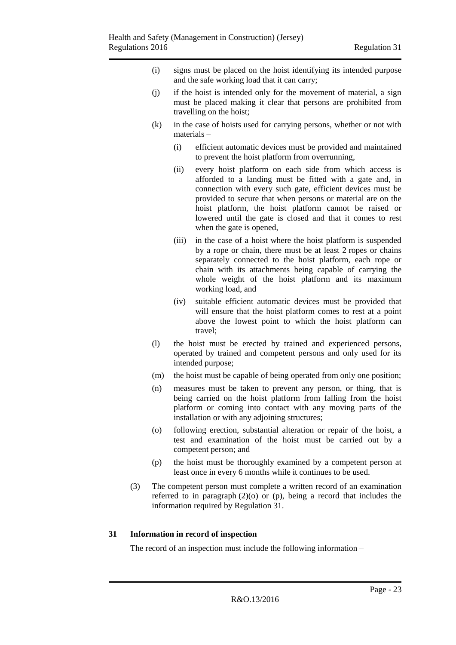- (i) signs must be placed on the hoist identifying its intended purpose and the safe working load that it can carry;
- (j) if the hoist is intended only for the movement of material, a sign must be placed making it clear that persons are prohibited from travelling on the hoist;
- (k) in the case of hoists used for carrying persons, whether or not with materials –
	- (i) efficient automatic devices must be provided and maintained to prevent the hoist platform from overrunning,
	- (ii) every hoist platform on each side from which access is afforded to a landing must be fitted with a gate and, in connection with every such gate, efficient devices must be provided to secure that when persons or material are on the hoist platform, the hoist platform cannot be raised or lowered until the gate is closed and that it comes to rest when the gate is opened,
	- (iii) in the case of a hoist where the hoist platform is suspended by a rope or chain, there must be at least 2 ropes or chains separately connected to the hoist platform, each rope or chain with its attachments being capable of carrying the whole weight of the hoist platform and its maximum working load, and
	- (iv) suitable efficient automatic devices must be provided that will ensure that the hoist platform comes to rest at a point above the lowest point to which the hoist platform can travel;
- (l) the hoist must be erected by trained and experienced persons, operated by trained and competent persons and only used for its intended purpose;
- (m) the hoist must be capable of being operated from only one position;
- (n) measures must be taken to prevent any person, or thing, that is being carried on the hoist platform from falling from the hoist platform or coming into contact with any moving parts of the installation or with any adjoining structures;
- (o) following erection, substantial alteration or repair of the hoist, a test and examination of the hoist must be carried out by a competent person; and
- (p) the hoist must be thoroughly examined by a competent person at least once in every 6 months while it continues to be used.
- (3) The competent person must complete a written record of an examination referred to in paragraph  $(2)(o)$  or  $(p)$ , being a record that includes the information required by Regulation 31.

#### <span id="page-22-0"></span>**31 Information in record of inspection**

The record of an inspection must include the following information –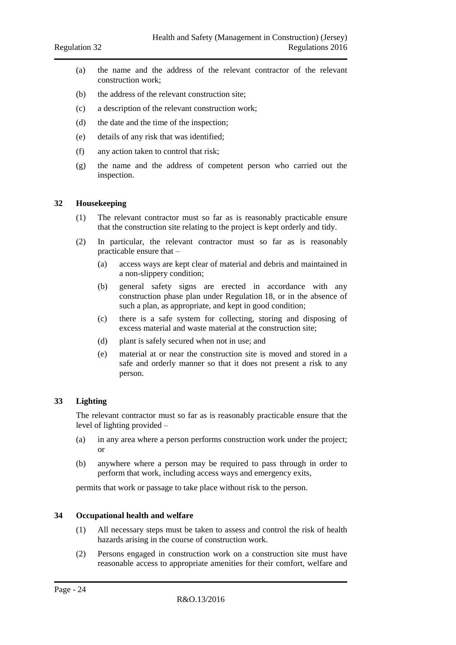- (a) the name and the address of the relevant contractor of the relevant construction work;
- (b) the address of the relevant construction site;
- (c) a description of the relevant construction work;
- (d) the date and the time of the inspection;
- (e) details of any risk that was identified;
- (f) any action taken to control that risk;
- (g) the name and the address of competent person who carried out the inspection.

#### <span id="page-23-0"></span>**32 Housekeeping**

- (1) The relevant contractor must so far as is reasonably practicable ensure that the construction site relating to the project is kept orderly and tidy.
- (2) In particular, the relevant contractor must so far as is reasonably practicable ensure that –
	- (a) access ways are kept clear of material and debris and maintained in a non-slippery condition;
	- (b) general safety signs are erected in accordance with any construction phase plan under Regulation 18, or in the absence of such a plan, as appropriate, and kept in good condition;
	- (c) there is a safe system for collecting, storing and disposing of excess material and waste material at the construction site;
	- (d) plant is safely secured when not in use; and
	- (e) material at or near the construction site is moved and stored in a safe and orderly manner so that it does not present a risk to any person.

#### <span id="page-23-1"></span>**33 Lighting**

The relevant contractor must so far as is reasonably practicable ensure that the level of lighting provided –

- (a) in any area where a person performs construction work under the project; or
- (b) anywhere where a person may be required to pass through in order to perform that work, including access ways and emergency exits,

permits that work or passage to take place without risk to the person.

#### <span id="page-23-2"></span>**34 Occupational health and welfare**

- (1) All necessary steps must be taken to assess and control the risk of health hazards arising in the course of construction work.
- (2) Persons engaged in construction work on a construction site must have reasonable access to appropriate amenities for their comfort, welfare and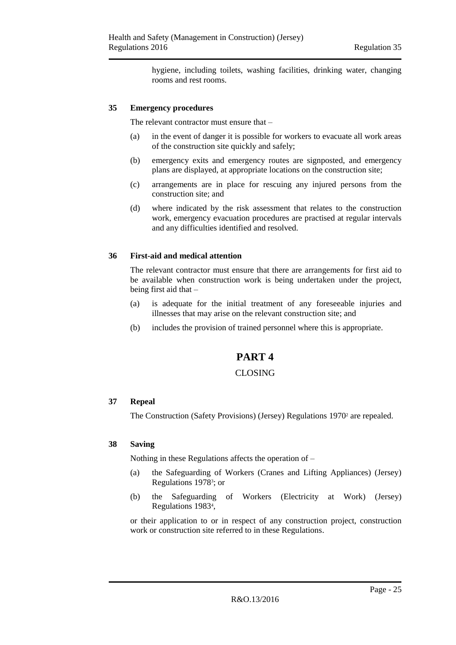hygiene, including toilets, washing facilities, drinking water, changing rooms and rest rooms.

#### <span id="page-24-0"></span>**35 Emergency procedures**

The relevant contractor must ensure that –

- (a) in the event of danger it is possible for workers to evacuate all work areas of the construction site quickly and safely;
- (b) emergency exits and emergency routes are signposted, and emergency plans are displayed, at appropriate locations on the construction site;
- (c) arrangements are in place for rescuing any injured persons from the construction site; and
- (d) where indicated by the risk assessment that relates to the construction work, emergency evacuation procedures are practised at regular intervals and any difficulties identified and resolved.

#### <span id="page-24-1"></span>**36 First-aid and medical attention**

The relevant contractor must ensure that there are arrangements for first aid to be available when construction work is being undertaken under the project, being first aid that –

- (a) is adequate for the initial treatment of any foreseeable injuries and illnesses that may arise on the relevant construction site; and
- <span id="page-24-2"></span>(b) includes the provision of trained personnel where this is appropriate.

# **PART 4**

#### CLOSING

#### <span id="page-24-4"></span><span id="page-24-3"></span>**37 Repeal**

The Construction (Safety Provisions) (Jersey) Regulations 1970<sup>2</sup> are repealed.

#### <span id="page-24-5"></span>**38 Saving**

Nothing in these Regulations affects the operation of –

- (a) the Safeguarding of Workers (Cranes and Lifting Appliances) (Jersey) Regulations 1978<sup>3</sup> ; or
- (b) the Safeguarding of Workers (Electricity at Work) (Jersey) Regulations 1983<sup>4</sup> ,

or their application to or in respect of any construction project, construction work or construction site referred to in these Regulations.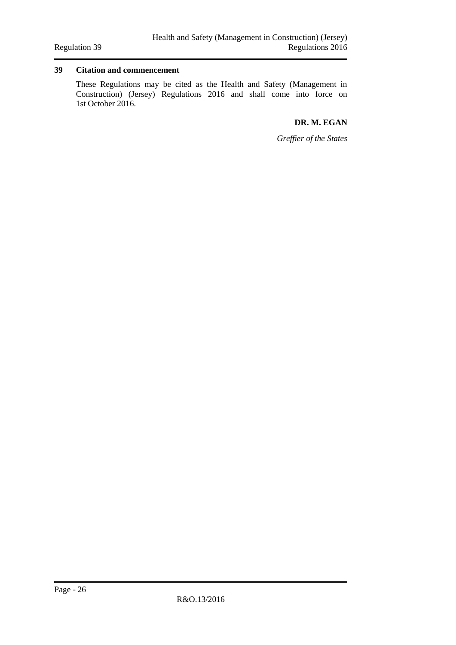#### <span id="page-25-0"></span>**39 Citation and commencement**

These Regulations may be cited as the Health and Safety (Management in Construction) (Jersey) Regulations 2016 and shall come into force on 1st October 2016.

#### **DR. M. EGAN**

*Greffier of the States*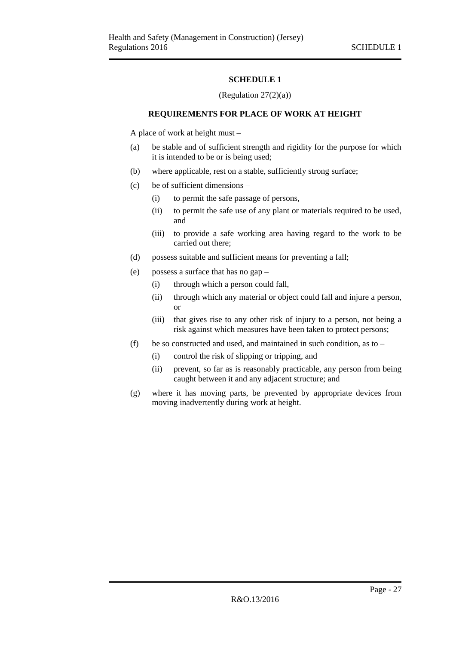#### (Regulation  $27(2)(a)$ )

#### <span id="page-26-0"></span>**REQUIREMENTS FOR PLACE OF WORK AT HEIGHT**

<span id="page-26-1"></span>A place of work at height must –

- (a) be stable and of sufficient strength and rigidity for the purpose for which it is intended to be or is being used;
- (b) where applicable, rest on a stable, sufficiently strong surface;
- (c) be of sufficient dimensions
	- (i) to permit the safe passage of persons,
	- (ii) to permit the safe use of any plant or materials required to be used, and
	- (iii) to provide a safe working area having regard to the work to be carried out there;
- (d) possess suitable and sufficient means for preventing a fall;
- (e) possess a surface that has no gap
	- (i) through which a person could fall,
	- (ii) through which any material or object could fall and injure a person, or
	- (iii) that gives rise to any other risk of injury to a person, not being a risk against which measures have been taken to protect persons;
- (f) be so constructed and used, and maintained in such condition, as to
	- (i) control the risk of slipping or tripping, and
	- (ii) prevent, so far as is reasonably practicable, any person from being caught between it and any adjacent structure; and
- (g) where it has moving parts, be prevented by appropriate devices from moving inadvertently during work at height.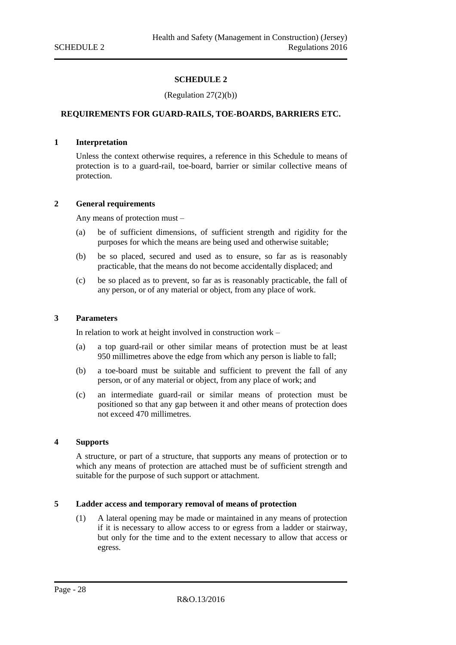#### (Regulation 27(2)(b))

#### <span id="page-27-1"></span><span id="page-27-0"></span>**REQUIREMENTS FOR GUARD-RAILS, TOE-BOARDS, BARRIERS ETC.**

#### <span id="page-27-2"></span>**1 Interpretation**

Unless the context otherwise requires, a reference in this Schedule to means of protection is to a guard-rail, toe-board, barrier or similar collective means of protection.

#### <span id="page-27-3"></span>**2 General requirements**

Any means of protection must –

- (a) be of sufficient dimensions, of sufficient strength and rigidity for the purposes for which the means are being used and otherwise suitable;
- (b) be so placed, secured and used as to ensure, so far as is reasonably practicable, that the means do not become accidentally displaced; and
- (c) be so placed as to prevent, so far as is reasonably practicable, the fall of any person, or of any material or object, from any place of work.

#### <span id="page-27-4"></span>**3 Parameters**

In relation to work at height involved in construction work –

- (a) a top guard-rail or other similar means of protection must be at least 950 millimetres above the edge from which any person is liable to fall;
- (b) a toe-board must be suitable and sufficient to prevent the fall of any person, or of any material or object, from any place of work; and
- (c) an intermediate guard-rail or similar means of protection must be positioned so that any gap between it and other means of protection does not exceed 470 millimetres.

#### <span id="page-27-5"></span>**4 Supports**

A structure, or part of a structure, that supports any means of protection or to which any means of protection are attached must be of sufficient strength and suitable for the purpose of such support or attachment.

#### <span id="page-27-6"></span>**5 Ladder access and temporary removal of means of protection**

(1) A lateral opening may be made or maintained in any means of protection if it is necessary to allow access to or egress from a ladder or stairway, but only for the time and to the extent necessary to allow that access or egress.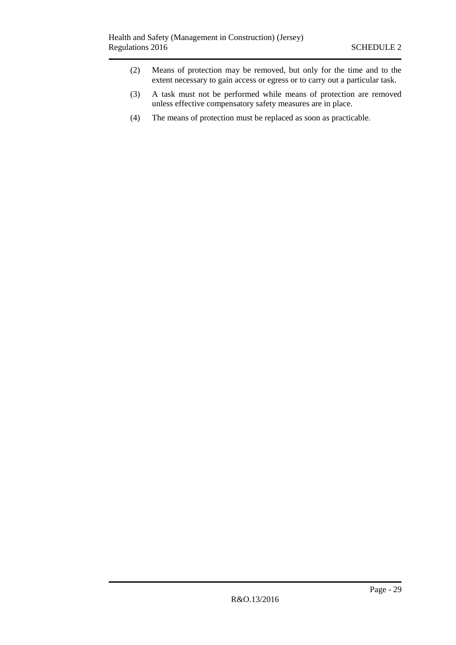- (2) Means of protection may be removed, but only for the time and to the extent necessary to gain access or egress or to carry out a particular task.
- (3) A task must not be performed while means of protection are removed unless effective compensatory safety measures are in place.
- (4) The means of protection must be replaced as soon as practicable.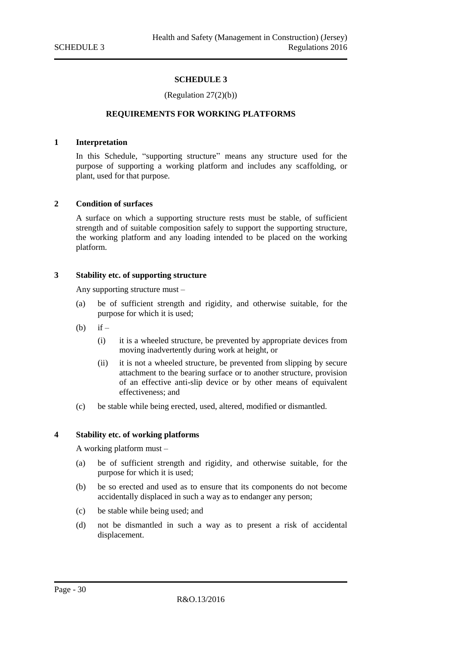#### (Regulation 27(2)(b))

#### <span id="page-29-0"></span>**REQUIREMENTS FOR WORKING PLATFORMS**

#### <span id="page-29-2"></span><span id="page-29-1"></span>**1 Interpretation**

In this Schedule, "supporting structure" means any structure used for the purpose of supporting a working platform and includes any scaffolding, or plant, used for that purpose.

#### <span id="page-29-3"></span>**2 Condition of surfaces**

A surface on which a supporting structure rests must be stable, of sufficient strength and of suitable composition safely to support the supporting structure, the working platform and any loading intended to be placed on the working platform.

#### <span id="page-29-4"></span>**3 Stability etc. of supporting structure**

Any supporting structure must –

- (a) be of sufficient strength and rigidity, and otherwise suitable, for the purpose for which it is used;
- $(b)$  if
	- (i) it is a wheeled structure, be prevented by appropriate devices from moving inadvertently during work at height, or
	- (ii) it is not a wheeled structure, be prevented from slipping by secure attachment to the bearing surface or to another structure, provision of an effective anti-slip device or by other means of equivalent effectiveness; and
- (c) be stable while being erected, used, altered, modified or dismantled.

#### <span id="page-29-5"></span>**4 Stability etc. of working platforms**

A working platform must –

- (a) be of sufficient strength and rigidity, and otherwise suitable, for the purpose for which it is used;
- (b) be so erected and used as to ensure that its components do not become accidentally displaced in such a way as to endanger any person;
- (c) be stable while being used; and
- (d) not be dismantled in such a way as to present a risk of accidental displacement.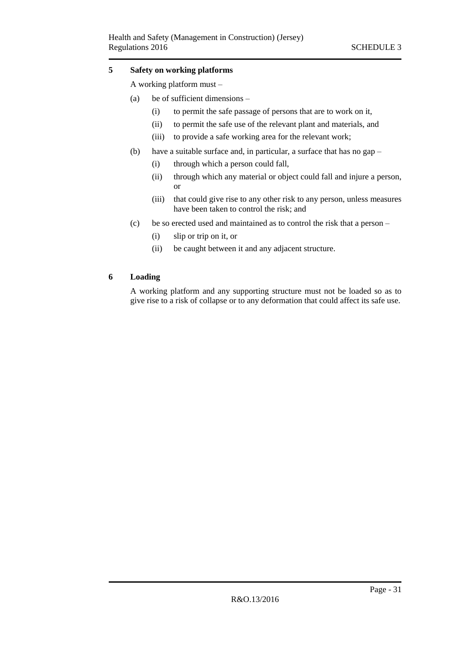#### <span id="page-30-0"></span>**5 Safety on working platforms**

A working platform must –

- (a) be of sufficient dimensions
	- (i) to permit the safe passage of persons that are to work on it,
	- (ii) to permit the safe use of the relevant plant and materials, and
	- (iii) to provide a safe working area for the relevant work;
- (b) have a suitable surface and, in particular, a surface that has no gap
	- (i) through which a person could fall,
	- (ii) through which any material or object could fall and injure a person, or
	- (iii) that could give rise to any other risk to any person, unless measures have been taken to control the risk; and
- (c) be so erected used and maintained as to control the risk that a person
	- (i) slip or trip on it, or
	- (ii) be caught between it and any adjacent structure.

#### <span id="page-30-1"></span>**6 Loading**

A working platform and any supporting structure must not be loaded so as to give rise to a risk of collapse or to any deformation that could affect its safe use.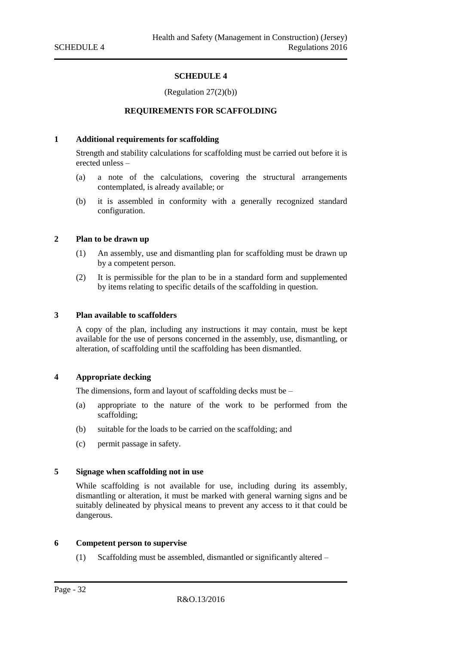(Regulation 27(2)(b))

#### **REQUIREMENTS FOR SCAFFOLDING**

#### <span id="page-31-2"></span><span id="page-31-1"></span><span id="page-31-0"></span>**1 Additional requirements for scaffolding**

Strength and stability calculations for scaffolding must be carried out before it is erected unless –

- (a) a note of the calculations, covering the structural arrangements contemplated, is already available; or
- (b) it is assembled in conformity with a generally recognized standard configuration.

#### <span id="page-31-3"></span>**2 Plan to be drawn up**

- (1) An assembly, use and dismantling plan for scaffolding must be drawn up by a competent person.
- (2) It is permissible for the plan to be in a standard form and supplemented by items relating to specific details of the scaffolding in question.

#### <span id="page-31-4"></span>**3 Plan available to scaffolders**

A copy of the plan, including any instructions it may contain, must be kept available for the use of persons concerned in the assembly, use, dismantling, or alteration, of scaffolding until the scaffolding has been dismantled.

#### <span id="page-31-5"></span>**4 Appropriate decking**

The dimensions, form and layout of scaffolding decks must be –

- (a) appropriate to the nature of the work to be performed from the scaffolding;
- (b) suitable for the loads to be carried on the scaffolding; and
- (c) permit passage in safety.

#### <span id="page-31-6"></span>**5 Signage when scaffolding not in use**

While scaffolding is not available for use, including during its assembly, dismantling or alteration, it must be marked with general warning signs and be suitably delineated by physical means to prevent any access to it that could be dangerous.

#### <span id="page-31-7"></span>**6 Competent person to supervise**

(1) Scaffolding must be assembled, dismantled or significantly altered –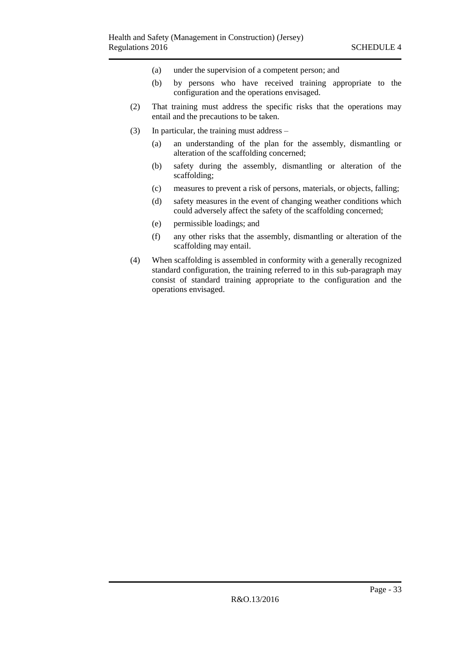- (a) under the supervision of a competent person; and
- (b) by persons who have received training appropriate to the configuration and the operations envisaged.
- (2) That training must address the specific risks that the operations may entail and the precautions to be taken.
- (3) In particular, the training must address
	- (a) an understanding of the plan for the assembly, dismantling or alteration of the scaffolding concerned;
	- (b) safety during the assembly, dismantling or alteration of the scaffolding;
	- (c) measures to prevent a risk of persons, materials, or objects, falling;
	- (d) safety measures in the event of changing weather conditions which could adversely affect the safety of the scaffolding concerned;
	- (e) permissible loadings; and
	- (f) any other risks that the assembly, dismantling or alteration of the scaffolding may entail.
- (4) When scaffolding is assembled in conformity with a generally recognized standard configuration, the training referred to in this sub-paragraph may consist of standard training appropriate to the configuration and the operations envisaged.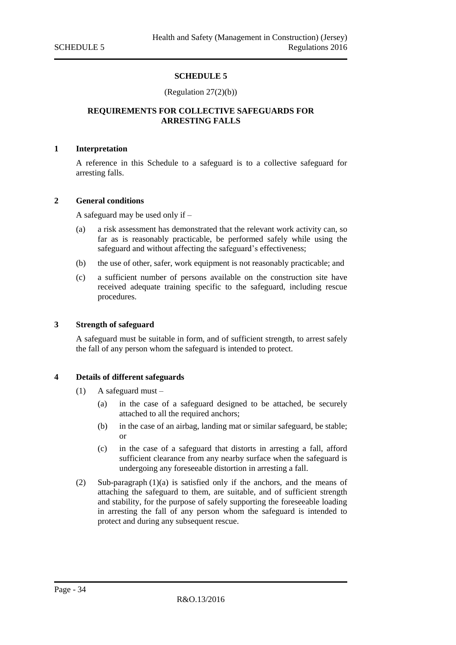#### (Regulation 27(2)(b))

#### <span id="page-33-1"></span><span id="page-33-0"></span>**REQUIREMENTS FOR COLLECTIVE SAFEGUARDS FOR ARRESTING FALLS**

#### <span id="page-33-2"></span>**1 Interpretation**

A reference in this Schedule to a safeguard is to a collective safeguard for arresting falls.

#### <span id="page-33-3"></span>**2 General conditions**

A safeguard may be used only if –

- (a) a risk assessment has demonstrated that the relevant work activity can, so far as is reasonably practicable, be performed safely while using the safeguard and without affecting the safeguard's effectiveness;
- (b) the use of other, safer, work equipment is not reasonably practicable; and
- (c) a sufficient number of persons available on the construction site have received adequate training specific to the safeguard, including rescue procedures.

#### <span id="page-33-4"></span>**3 Strength of safeguard**

A safeguard must be suitable in form, and of sufficient strength, to arrest safely the fall of any person whom the safeguard is intended to protect.

#### <span id="page-33-5"></span>**4 Details of different safeguards**

- (1) A safeguard must
	- (a) in the case of a safeguard designed to be attached, be securely attached to all the required anchors;
	- (b) in the case of an airbag, landing mat or similar safeguard, be stable; or
	- (c) in the case of a safeguard that distorts in arresting a fall, afford sufficient clearance from any nearby surface when the safeguard is undergoing any foreseeable distortion in arresting a fall.
- (2) Sub-paragraph (1)(a) is satisfied only if the anchors, and the means of attaching the safeguard to them, are suitable, and of sufficient strength and stability, for the purpose of safely supporting the foreseeable loading in arresting the fall of any person whom the safeguard is intended to protect and during any subsequent rescue.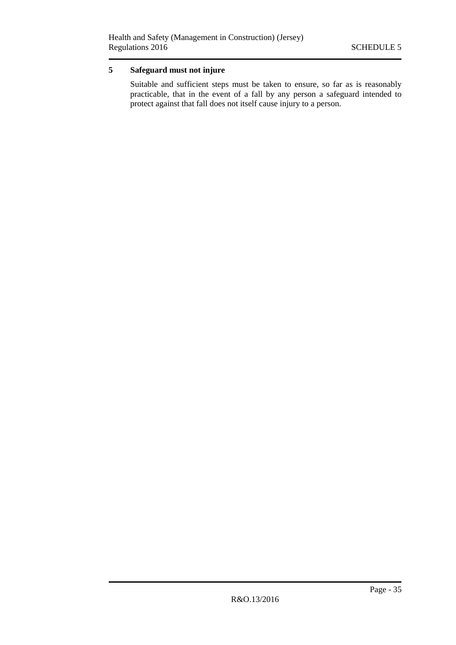# <span id="page-34-0"></span>**5 Safeguard must not injure**

Suitable and sufficient steps must be taken to ensure, so far as is reasonably practicable, that in the event of a fall by any person a safeguard intended to protect against that fall does not itself cause injury to a person.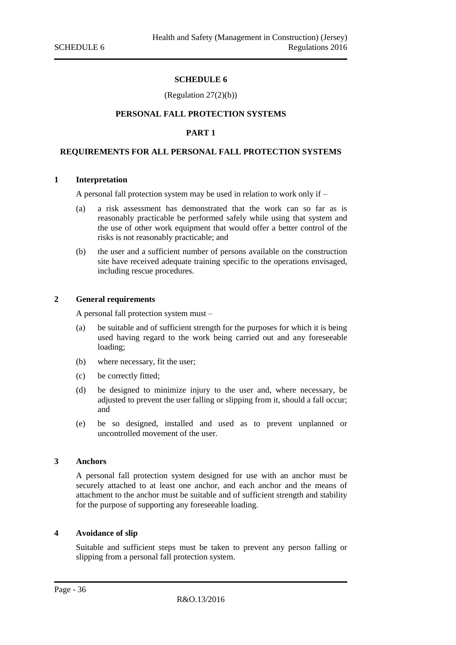#### (Regulation 27(2)(b))

#### <span id="page-35-0"></span>**PERSONAL FALL PROTECTION SYSTEMS**

#### **PART 1**

#### <span id="page-35-3"></span><span id="page-35-2"></span><span id="page-35-1"></span>**REQUIREMENTS FOR ALL PERSONAL FALL PROTECTION SYSTEMS**

#### <span id="page-35-4"></span>**1 Interpretation**

A personal fall protection system may be used in relation to work only if –

- (a) a risk assessment has demonstrated that the work can so far as is reasonably practicable be performed safely while using that system and the use of other work equipment that would offer a better control of the risks is not reasonably practicable; and
- (b) the user and a sufficient number of persons available on the construction site have received adequate training specific to the operations envisaged, including rescue procedures.

#### <span id="page-35-5"></span>**2 General requirements**

A personal fall protection system must –

- (a) be suitable and of sufficient strength for the purposes for which it is being used having regard to the work being carried out and any foreseeable loading;
- (b) where necessary, fit the user;
- (c) be correctly fitted;
- (d) be designed to minimize injury to the user and, where necessary, be adjusted to prevent the user falling or slipping from it, should a fall occur; and
- (e) be so designed, installed and used as to prevent unplanned or uncontrolled movement of the user.

#### <span id="page-35-6"></span>**3 Anchors**

A personal fall protection system designed for use with an anchor must be securely attached to at least one anchor, and each anchor and the means of attachment to the anchor must be suitable and of sufficient strength and stability for the purpose of supporting any foreseeable loading.

#### <span id="page-35-7"></span>**4 Avoidance of slip**

Suitable and sufficient steps must be taken to prevent any person falling or slipping from a personal fall protection system.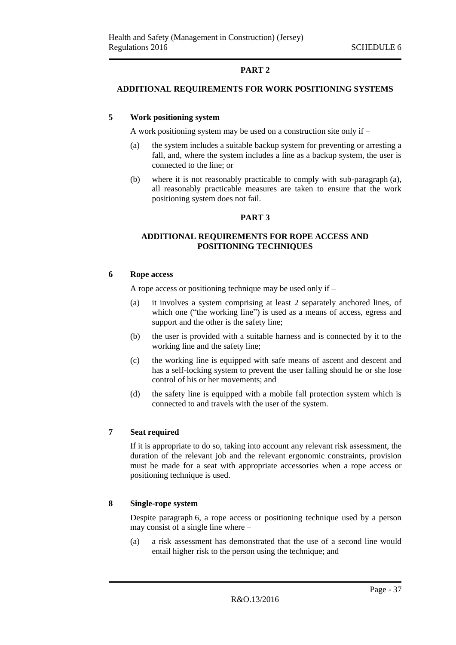### **PART 2**

#### <span id="page-36-1"></span><span id="page-36-0"></span>**ADDITIONAL REQUIREMENTS FOR WORK POSITIONING SYSTEMS**

#### <span id="page-36-2"></span>**5 Work positioning system**

A work positioning system may be used on a construction site only if –

- (a) the system includes a suitable backup system for preventing or arresting a fall, and, where the system includes a line as a backup system, the user is connected to the line; or
- <span id="page-36-3"></span>(b) where it is not reasonably practicable to comply with sub-paragraph (a), all reasonably practicable measures are taken to ensure that the work positioning system does not fail.

#### **PART 3**

#### <span id="page-36-4"></span>**ADDITIONAL REQUIREMENTS FOR ROPE ACCESS AND POSITIONING TECHNIQUES**

#### <span id="page-36-5"></span>**6 Rope access**

A rope access or positioning technique may be used only if –

- (a) it involves a system comprising at least 2 separately anchored lines, of which one ("the working line") is used as a means of access, egress and support and the other is the safety line;
- (b) the user is provided with a suitable harness and is connected by it to the working line and the safety line;
- (c) the working line is equipped with safe means of ascent and descent and has a self-locking system to prevent the user falling should he or she lose control of his or her movements; and
- (d) the safety line is equipped with a mobile fall protection system which is connected to and travels with the user of the system.

#### <span id="page-36-6"></span>**7 Seat required**

If it is appropriate to do so, taking into account any relevant risk assessment, the duration of the relevant job and the relevant ergonomic constraints, provision must be made for a seat with appropriate accessories when a rope access or positioning technique is used.

#### <span id="page-36-7"></span>**8 Single-rope system**

Despite paragraph 6, a rope access or positioning technique used by a person may consist of a single line where –

(a) a risk assessment has demonstrated that the use of a second line would entail higher risk to the person using the technique; and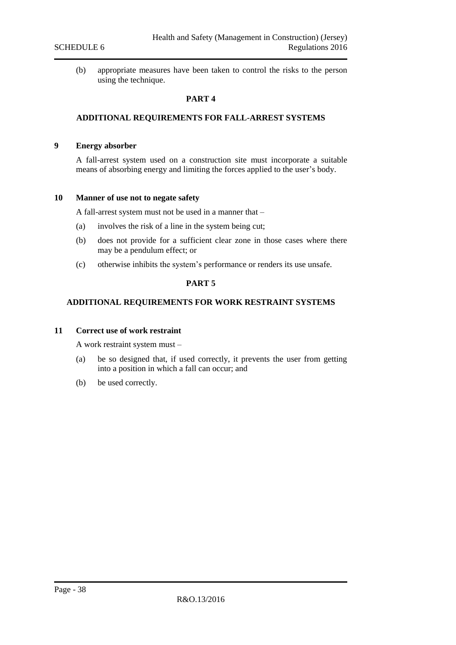<span id="page-37-0"></span>(b) appropriate measures have been taken to control the risks to the person using the technique.

#### **PART 4**

#### <span id="page-37-1"></span>**ADDITIONAL REQUIREMENTS FOR FALL-ARREST SYSTEMS**

#### <span id="page-37-2"></span>**9 Energy absorber**

A fall-arrest system used on a construction site must incorporate a suitable means of absorbing energy and limiting the forces applied to the user's body.

#### <span id="page-37-3"></span>**10 Manner of use not to negate safety**

A fall-arrest system must not be used in a manner that –

- (a) involves the risk of a line in the system being cut;
- (b) does not provide for a sufficient clear zone in those cases where there may be a pendulum effect; or
- <span id="page-37-4"></span>(c) otherwise inhibits the system's performance or renders its use unsafe.

#### **PART 5**

#### <span id="page-37-5"></span>**ADDITIONAL REQUIREMENTS FOR WORK RESTRAINT SYSTEMS**

#### <span id="page-37-6"></span>**11 Correct use of work restraint**

A work restraint system must –

- (a) be so designed that, if used correctly, it prevents the user from getting into a position in which a fall can occur; and
- (b) be used correctly.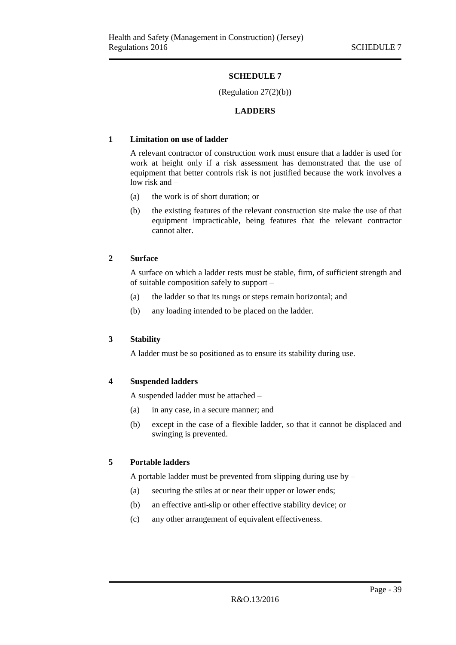#### (Regulation 27(2)(b))

#### **LADDERS**

#### <span id="page-38-2"></span><span id="page-38-1"></span><span id="page-38-0"></span>**1 Limitation on use of ladder**

A relevant contractor of construction work must ensure that a ladder is used for work at height only if a risk assessment has demonstrated that the use of equipment that better controls risk is not justified because the work involves a low risk and –

- (a) the work is of short duration; or
- (b) the existing features of the relevant construction site make the use of that equipment impracticable, being features that the relevant contractor cannot alter.

#### <span id="page-38-3"></span>**2 Surface**

A surface on which a ladder rests must be stable, firm, of sufficient strength and of suitable composition safely to support –

- (a) the ladder so that its rungs or steps remain horizontal; and
- (b) any loading intended to be placed on the ladder.

#### <span id="page-38-4"></span>**3 Stability**

A ladder must be so positioned as to ensure its stability during use.

#### <span id="page-38-5"></span>**4 Suspended ladders**

A suspended ladder must be attached –

- (a) in any case, in a secure manner; and
- (b) except in the case of a flexible ladder, so that it cannot be displaced and swinging is prevented.

#### <span id="page-38-6"></span>**5 Portable ladders**

A portable ladder must be prevented from slipping during use by –

- (a) securing the stiles at or near their upper or lower ends;
- (b) an effective anti-slip or other effective stability device; or
- (c) any other arrangement of equivalent effectiveness.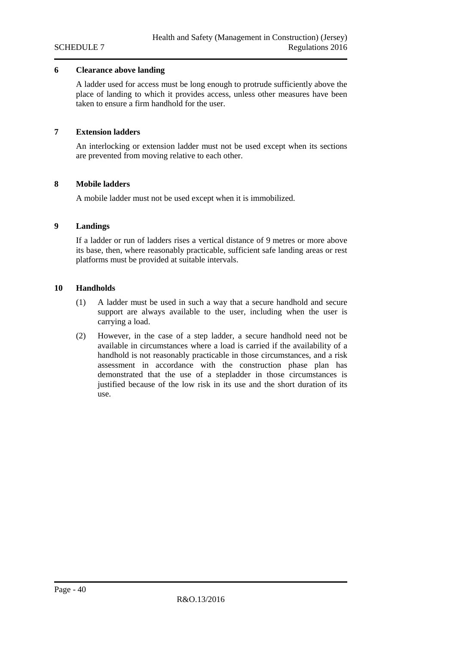#### <span id="page-39-0"></span>**6 Clearance above landing**

A ladder used for access must be long enough to protrude sufficiently above the place of landing to which it provides access, unless other measures have been taken to ensure a firm handhold for the user.

#### <span id="page-39-1"></span>**7 Extension ladders**

An interlocking or extension ladder must not be used except when its sections are prevented from moving relative to each other.

#### <span id="page-39-2"></span>**8 Mobile ladders**

A mobile ladder must not be used except when it is immobilized.

#### <span id="page-39-3"></span>**9 Landings**

If a ladder or run of ladders rises a vertical distance of 9 metres or more above its base, then, where reasonably practicable, sufficient safe landing areas or rest platforms must be provided at suitable intervals.

#### <span id="page-39-4"></span>**10 Handholds**

- (1) A ladder must be used in such a way that a secure handhold and secure support are always available to the user, including when the user is carrying a load.
- (2) However, in the case of a step ladder, a secure handhold need not be available in circumstances where a load is carried if the availability of a handhold is not reasonably practicable in those circumstances, and a risk assessment in accordance with the construction phase plan has demonstrated that the use of a stepladder in those circumstances is justified because of the low risk in its use and the short duration of its use.